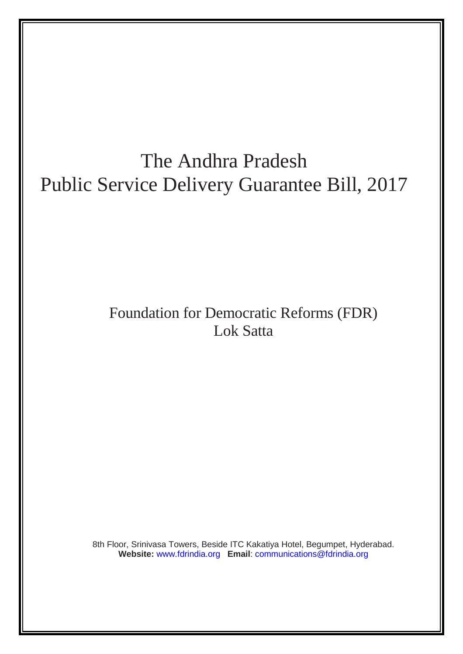# The Andhra Pradesh Public Service Delivery Guarantee Bill, 2017

## Foundation for Democratic Reforms (FDR) Lok Satta

8th Floor, Srinivasa Towers, Beside ITC Kakatiya Hotel, Begumpet, Hyderabad. **Website:** [www.fdrindia.org](http://www.fdrindia.org/) **Email**: [communications@fdrindia.org](mailto:communications@fdrindia.org)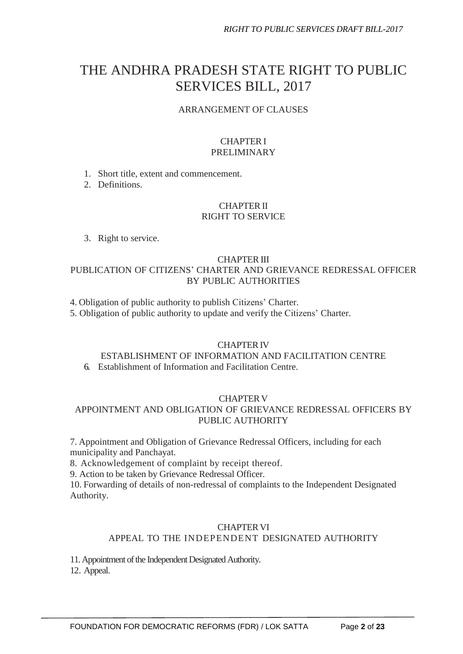### THE ANDHRA PRADESH STATE RIGHT TO PUBLIC SERVICES BILL, 2017

#### ARRANGEMENT OF CLAUSES

#### CHAPTERI PRELIMINARY

1. Short title, extent and commencement.

2. Definitions.

#### CHAPTERII RIGHT TO SERVICE

3. Right to service.

#### CHAPTERIII PUBLICATION OF CITIZENS' CHARTER AND GRIEVANCE REDRESSAL OFFICER BY PUBLIC AUTHORITIES

- 4. Obligation of public authority to publish Citizens' Charter.
- 5. Obligation of public authority to update and verify the Citizens' Charter.

#### **CHAPTER IV**

#### ESTABLISHMENT OF INFORMATION AND FACILITATION CENTRE 6. Establishment of Information and Facilitation Centre.

#### **CHAPTER V**

#### APPOINTMENT AND OBLIGATION OF GRIEVANCE REDRESSAL OFFICERS BY PUBLIC AUTHORITY

7. Appointment and Obligation of Grievance Redressal Officers, including for each municipality and Panchayat.

8. Acknowledgement of complaint by receipt thereof.

9. Action to be taken by Grievance Redressal Officer.

10. Forwarding of details of non-redressal of complaints to the Independent Designated Authority.

#### **CHAPTER VI**

#### APPEAL TO THE INDEPENDENT DESIGNATED AUTHORITY

11. Appointment of the Independent Designated Authority.

12. Appeal.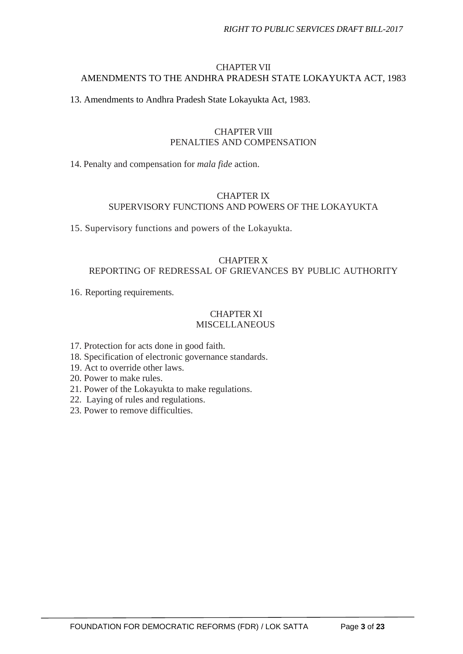#### **CHAPTER VII** AMENDMENTS TO THE ANDHRA PRADESH STATE LOKAYUKTA ACT, 1983

13. Amendments to Andhra Pradesh State Lokayukta Act, 1983.

#### CHAPTER VIII PENALTIES AND COMPENSATION

14. Penalty and compensation for *mala fide* action.

#### CHAPTER IX SUPERVISORY FUNCTIONS AND POWERS OF THE LOKAYUKTA

15. Supervisory functions and powers of the Lokayukta.

#### CHAPTER X REPORTING OF REDRESSAL OF GRIEVANCES BY PUBLIC AUTHORITY

16. Reporting requirements.

#### CHAPTER XI **MISCELLANEOUS**

- 17. Protection for acts done in good faith.
- 18. Specification of electronic governance standards.
- 19. Act to override other laws.
- 20. Power to make rules.
- 21. Power of the Lokayukta to make regulations.
- 22. Laying of rules and regulations.
- 23. Power to remove difficulties.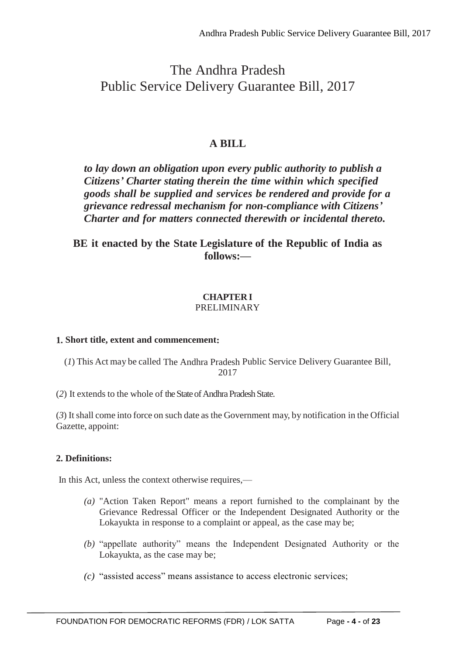### The Andhra Pradesh Public Service Delivery Guarantee Bill, 2017

#### **A BILL**

*to lay down an obligation upon every public authority to publish a Citizens' Charter stating therein the time within which specified goods shall be supplied and services be rendered and provide for a grievance redressal mechanism for non-compliance with Citizens' Charter and for matters connected therewith or incidental thereto.*

#### **BE it enacted by the State Legislature of the Republic of India as follows:—**

#### **CHAPTER I** PRELIMINARY

#### **1. Short title, extent and commencement:**

(*1*) This Act may be called The Andhra Pradesh Public Service Delivery Guarantee Bill, 2017

(2) It extends to the whole of the State of Andhra Pradesh State.

(*3*) Itshall come into force on such date as the Government may, by notification in the Official Gazette, appoint:

#### **2. Definitions:**

In this Act, unless the context otherwise requires,—

- *(a)* "Action Taken Report" means a report furnished to the complainant by the Grievance Redressal Officer or the Independent Designated Authority or the Lokayukta in response to a complaint or appeal, as the case may be;
- *(b)* "appellate authority" means the Independent Designated Authority or the Lokayukta, as the case may be;
- *(c)* "assisted access" means assistance to access electronic services;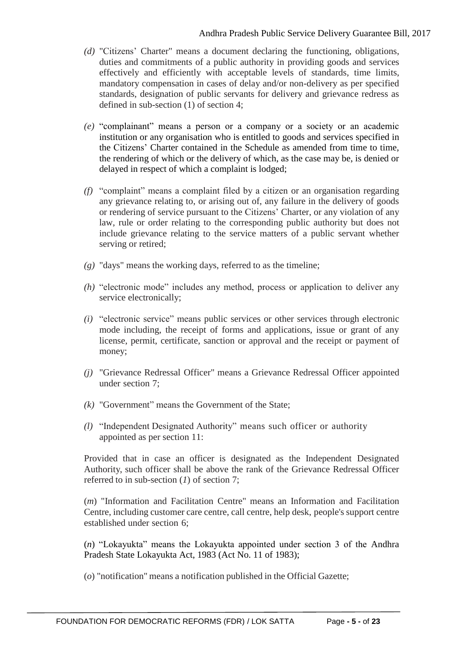- *(d)* "Citizens' Charter" means a document declaring the functioning, obligations, duties and commitments of a public authority in providing goods and services effectively and efficiently with acceptable levels of standards, time limits, mandatory compensation in cases of delay and/or non-delivery as per specified standards, designation of public servants for delivery and grievance redress as defined in sub-section (1) of section 4;
- *(e)* "complainant" means a person or a company or a society or an academic institution or any organisation who is entitled to goods and services specified in the Citizens' Charter contained in the Schedule as amended from time to time, the rendering of which or the delivery of which, as the case may be, is denied or delayed in respect of which a complaint is lodged;
- *(f)* "complaint" means a complaint filed by a citizen or an organisation regarding any grievance relating to, or arising out of, any failure in the delivery of goods or rendering of service pursuant to the Citizens' Charter, or any violation of any law, rule or order relating to the corresponding public authority but does not include grievance relating to the service matters of a public servant whether serving or retired;
- *(g)* "days" means the working days, referred to as the timeline;
- *(h)* "electronic mode" includes any method, process or application to deliver any service electronically;
- *(i)* "electronic service" means public services or other services through electronic mode including, the receipt of forms and applications, issue or grant of any license, permit, certificate, sanction or approval and the receipt or payment of money;
- *(j)* "Grievance Redressal Officer" means a Grievance Redressal Officer appointed under section 7;
- *(k)* "Government" means the Government of the State;
- *(l)* "Independent Designated Authority" means such officer or authority appointed as per section 11:

Provided that in case an officer is designated as the Independent Designated Authority, such officer shall be above the rank of the Grievance Redressal Officer referred to in sub-section (*1*) of section 7;

(*m*) "Information and Facilitation Centre" means an Information and Facilitation Centre, including customer care centre, call centre, help desk, people's support centre established under section 6;

(*n*) "Lokayukta" means the Lokayukta appointed under section 3 of the Andhra Pradesh State Lokayukta Act, 1983 (Act No. 11 of 1983);

(*o*) "notification" means a notification published in the Official Gazette;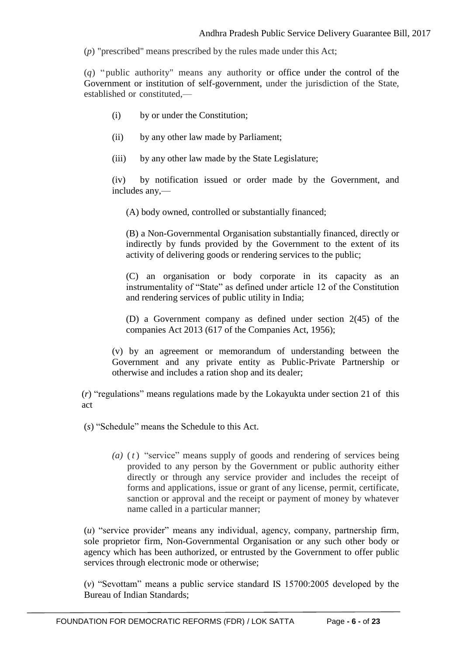(*p*) "prescribed" means prescribed by the rules made under this Act;

(*q*) " public authority" means any authority or office under the control of the Government or institution of self-government, under the jurisdiction of the State, established or constituted,—

- (i) by or under the Constitution;
- (ii) by any other law made by Parliament;
- (iii) by any other law made by the State Legislature;

(iv) by notification issued or order made by the Government, and includes any,—

(A) body owned, controlled or substantially financed;

(B) a Non-Governmental Organisation substantially financed, directly or indirectly by funds provided by the Government to the extent of its activity of delivering goods or rendering services to the public;

(C) an organisation or body corporate in its capacity as an instrumentality of "State" as defined under article 12 of the Constitution and rendering services of public utility in India;

(D) a Government company as defined under section 2(45) of the companies Act 2013 (617 of the Companies Act, 1956);

(v) by an agreement or memorandum of understanding between the Government and any private entity as Public-Private Partnership or otherwise and includes a ration shop and its dealer;

(*r*) "regulations" means regulations made by the Lokayukta under section 21 of this act

(*s*) "Schedule" means the Schedule to this Act.

*(a)* ( *t* ) "service" means supply of goods and rendering of services being provided to any person by the Government or public authority either directly or through any service provider and includes the receipt of forms and applications, issue or grant of any license, permit, certificate, sanction or approval and the receipt or payment of money by whatever name called in a particular manner;

(*u*) "service provider" means any individual, agency, company, partnership firm, sole proprietor firm, Non-Governmental Organisation or any such other body or agency which has been authorized, or entrusted by the Government to offer public services through electronic mode or otherwise;

(*v*) "Sevottam" means a public service standard IS 15700:2005 developed by the Bureau of Indian Standards;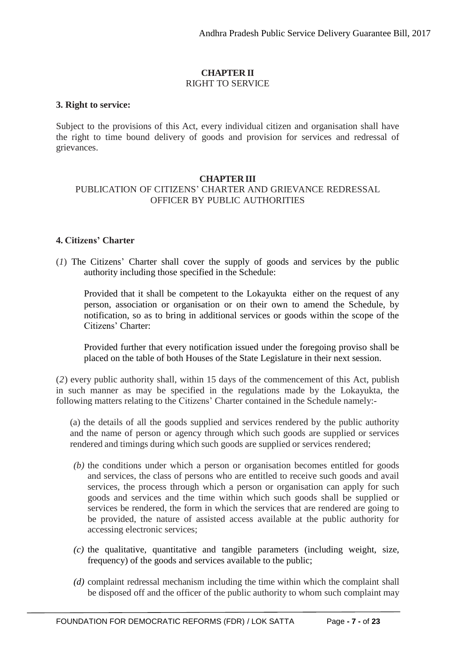#### **CHAPTER II** RIGHT TO SERVICE

#### **3. Right to service:**

Subject to the provisions of this Act, every individual citizen and organisation shall have the right to time bound delivery of goods and provision for services and redressal of grievances.

#### **CHAPTER III**

#### PUBLICATION OF CITIZENS' CHARTER AND GRIEVANCE REDRESSAL OFFICER BY PUBLIC AUTHORITIES

#### **4. Citizens' Charter**

(*1*) The Citizens' Charter shall cover the supply of goods and services by the public authority including those specified in the Schedule:

Provided that it shall be competent to the Lokayukta either on the request of any person, association or organisation or on their own to amend the Schedule, by notification, so as to bring in additional services or goods within the scope of the Citizens' Charter:

Provided further that every notification issued under the foregoing proviso shall be placed on the table of both Houses of the State Legislature in their next session.

(*2*) every public authority shall, within 15 days of the commencement of this Act, publish in such manner as may be specified in the regulations made by the Lokayukta, the following matters relating to the Citizens' Charter contained in the Schedule namely:-

(a) the details of all the goods supplied and services rendered by the public authority and the name of person or agency through which such goods are supplied or services rendered and timings during which such goods are supplied or services rendered;

- *(b)* the conditions under which a person or organisation becomes entitled for goods and services, the class of persons who are entitled to receive such goods and avail services, the process through which a person or organisation can apply for such goods and services and the time within which such goods shall be supplied or services be rendered, the form in which the services that are rendered are going to be provided, the nature of assisted access available at the public authority for accessing electronic services;
- *(c)* the qualitative, quantitative and tangible parameters (including weight, size, frequency) of the goods and services available to the public;
- *(d)* complaint redressal mechanism including the time within which the complaint shall be disposed off and the officer of the public authority to whom such complaint may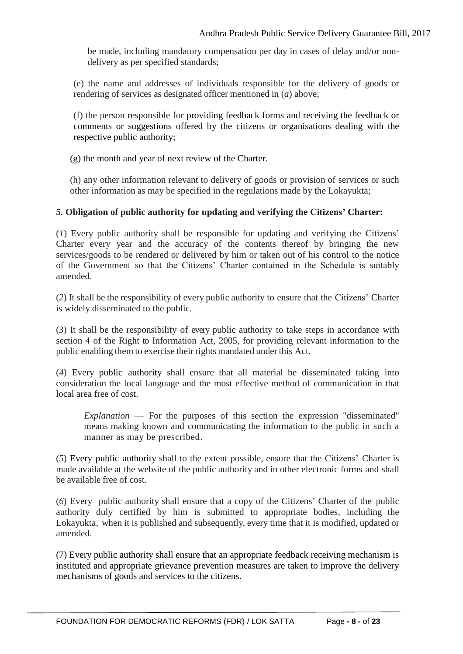be made, including mandatory compensation per day in cases of delay and/or nondelivery as per specified standards;

(e) the name and addresses of individuals responsible for the delivery of goods or rendering of services as designated officer mentioned in (*a*) above;

(f) the person responsible for providing feedback forms and receiving the feedback or comments or suggestions offered by the citizens or organisations dealing with the respective public authority;

(g) the month and year of next review of the Charter.

(h) any other information relevant to delivery of goods or provision of services or such other information as may be specified in the regulations made by the Lokayukta;

#### **5. Obligation of public authority for updating and verifying the Citizens' Charter:**

(*1*) Every public authority shall be responsible for updating and verifying the Citizens' Charter every year and the accuracy of the contents thereof by bringing the new services/goods to be rendered or delivered by him or taken out of his control to the notice of the Government so that the Citizens' Charter contained in the Schedule is suitably amended.

(*2*) It shall be the responsibility of every public authority to ensure that the Citizens' Charter is widely disseminated to the public.

(*3*) It shall be the responsibility of every public authority to take steps in accordance with section 4 of the Right to Information Act, 2005, for providing relevant information to the public enabling them to exercise their rights mandated under this Act.

(*4*) Every public authority shall ensure that all material be disseminated taking into consideration the local language and the most effective method of communication in that local area free of cost.

*Explanation* — For the purposes of this section the expression "disseminated" means making known and communicating the information to the public in such a manner as may be prescribed.

(*5*) Every public authority shall to the extent possible, ensure that the Citizens' Charter is made available at the website of the public authority and in other electronic forms and shall be available free of cost.

(*6*) Every public authority shall ensure that a copy of the Citizens' Charter of the public authority duly certified by him is submitted to appropriate bodies, including the Lokayukta, when it is published and subsequently, every time that it is modified, updated or amended.

(7) Every public authority shall ensure that an appropriate feedback receiving mechanism is instituted and appropriate grievance prevention measures are taken to improve the delivery mechanisms of goods and services to the citizens.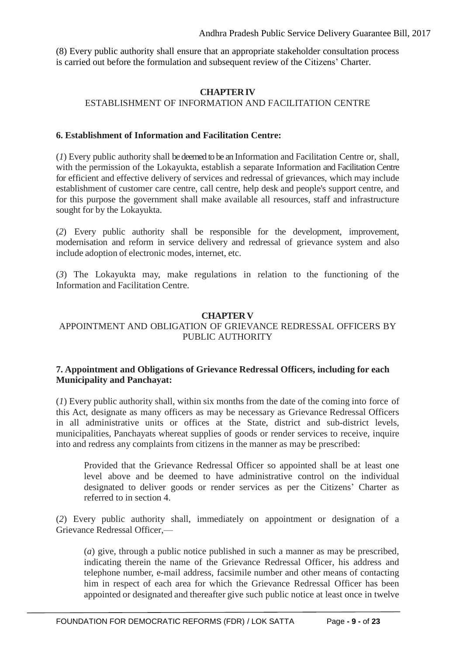(8) Every public authority shall ensure that an appropriate stakeholder consultation process is carried out before the formulation and subsequent review of the Citizens' Charter.

#### **CHAPTERIV** ESTABLISHMENT OF INFORMATION AND FACILITATION CENTRE

#### **6. Establishment of Information and Facilitation Centre:**

(*1*) Every public authority shall be deemed to be an Information and Facilitation Centre or, shall, with the permission of the Lokayukta, establish a separate Information and Facilitation Centre for efficient and effective delivery of services and redressal of grievances, which may include establishment of customer care centre, call centre, help desk and people's support centre, and for this purpose the government shall make available all resources, staff and infrastructure sought for by the Lokayukta.

(*2*) Every public authority shall be responsible for the development, improvement, modernisation and reform in service delivery and redressal of grievance system and also include adoption of electronic modes, internet, etc.

(*3*) The Lokayukta may, make regulations in relation to the functioning of the Information and Facilitation Centre.

#### **CHAPTERV**

#### APPOINTMENT AND OBLIGATION OF GRIEVANCE REDRESSAL OFFICERS BY PUBLIC AUTHORITY

#### **7. Appointment and Obligations of Grievance Redressal Officers, including for each Municipality and Panchayat:**

(*1*) Every public authority shall, within six months from the date of the coming into force of this Act, designate as many officers as may be necessary as Grievance Redressal Officers in all administrative units or offices at the State, district and sub-district levels, municipalities, Panchayats whereat supplies of goods or render services to receive, inquire into and redress any complaints from citizens in the manner as may be prescribed:

Provided that the Grievance Redressal Officer so appointed shall be at least one level above and be deemed to have administrative control on the individual designated to deliver goods or render services as per the Citizens' Charter as referred to in section 4.

(*2*) Every public authority shall, immediately on appointment or designation of a Grievance Redressal Officer,—

(*a*) give, through a public notice published in such a manner as may be prescribed, indicating therein the name of the Grievance Redressal Officer, his address and telephone number, e-mail address, facsimile number and other means of contacting him in respect of each area for which the Grievance Redressal Officer has been appointed or designated and thereafter give such public notice at least once in twelve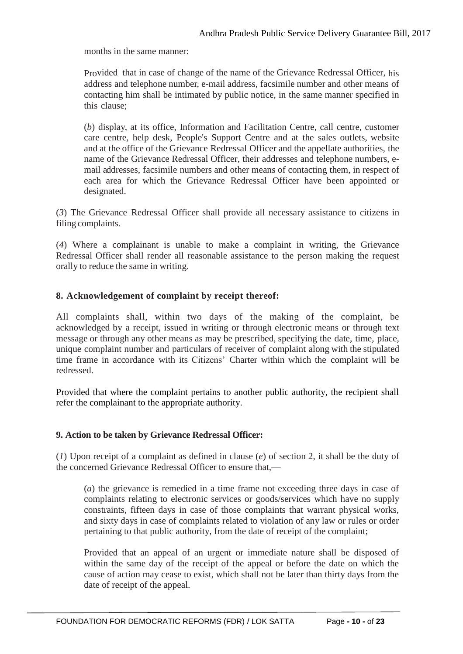months in the same manner:

Provided that in case of change of the name of the Grievance Redressal Officer, his address and telephone number, e-mail address, facsimile number and other means of contacting him shall be intimated by public notice, in the same manner specified in this clause;

(*b*) display, at its office, Information and Facilitation Centre, call centre, customer care centre, help desk, People's Support Centre and at the sales outlets, website and at the office of the Grievance Redressal Officer and the appellate authorities, the name of the Grievance Redressal Officer, their addresses and telephone numbers, email addresses, facsimile numbers and other means of contacting them, in respect of each area for which the Grievance Redressal Officer have been appointed or designated.

(*3*) The Grievance Redressal Officer shall provide all necessary assistance to citizens in filing complaints.

(*4*) Where a complainant is unable to make a complaint in writing, the Grievance Redressal Officer shall render all reasonable assistance to the person making the request orally to reduce the same in writing.

#### **8. Acknowledgement of complaint by receipt thereof:**

All complaints shall, within two days of the making of the complaint, be acknowledged by a receipt, issued in writing or through electronic means or through text message or through any other means as may be prescribed, specifying the date, time, place, unique complaint number and particulars of receiver of complaint along with the stipulated time frame in accordance with its Citizens' Charter within which the complaint will be redressed.

Provided that where the complaint pertains to another public authority, the recipient shall refer the complainant to the appropriate authority.

#### **9. Action to be taken by Grievance Redressal Officer:**

(*1*) Upon receipt of a complaint as defined in clause (*e*) of section 2, it shall be the duty of the concerned Grievance Redressal Officer to ensure that,—

(*a*) the grievance is remedied in a time frame not exceeding three days in case of complaints relating to electronic services or goods/services which have no supply constraints, fifteen days in case of those complaints that warrant physical works, and sixty days in case of complaints related to violation of any law or rules or order pertaining to that public authority, from the date of receipt of the complaint;

Provided that an appeal of an urgent or immediate nature shall be disposed of within the same day of the receipt of the appeal or before the date on which the cause of action may cease to exist, which shall not be later than thirty days from the date of receipt of the appeal.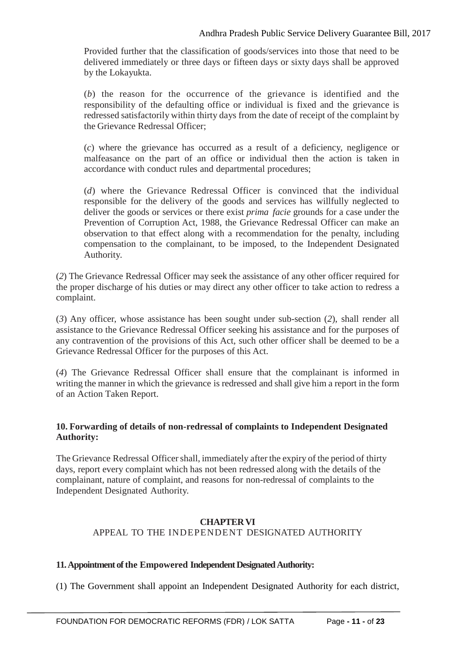Provided further that the classification of goods/services into those that need to be delivered immediately or three days or fifteen days or sixty days shall be approved by the Lokayukta.

(*b*) the reason for the occurrence of the grievance is identified and the responsibility of the defaulting office or individual is fixed and the grievance is redressed satisfactorily within thirty days from the date of receipt of the complaint by the Grievance Redressal Officer;

(*c*) where the grievance has occurred as a result of a deficiency, negligence or malfeasance on the part of an office or individual then the action is taken in accordance with conduct rules and departmental procedures;

(*d*) where the Grievance Redressal Officer is convinced that the individual responsible for the delivery of the goods and services has willfully neglected to deliver the goods or services or there exist *prima facie* grounds for a case under the Prevention of Corruption Act, 1988, the Grievance Redressal Officer can make an observation to that effect along with a recommendation for the penalty, including compensation to the complainant, to be imposed, to the Independent Designated Authority.

(*2*) The Grievance Redressal Officer may seek the assistance of any other officer required for the proper discharge of his duties or may direct any other officer to take action to redress a complaint.

(*3*) Any officer, whose assistance has been sought under sub-section (*2*), shall render all assistance to the Grievance Redressal Officer seeking his assistance and for the purposes of any contravention of the provisions of this Act, such other officer shall be deemed to be a Grievance Redressal Officer for the purposes of this Act.

(*4*) The Grievance Redressal Officer shall ensure that the complainant is informed in writing the manner in which the grievance is redressed and shall give him a report in the form of an Action Taken Report.

#### **10. Forwarding of details of non-redressal of complaints to Independent Designated Authority:**

The Grievance Redressal Officer shall, immediately after the expiry of the period of thirty days, report every complaint which has not been redressed along with the details of the complainant, nature of complaint, and reasons for non-redressal of complaints to the Independent Designated Authority.

#### **CHAPTERVI** APPEAL TO THE INDEPENDENT DESIGNATED AUTHORITY

#### 11. Appointment of the Empowered Independent Designated Authority:

(1) The Government shall appoint an Independent Designated Authority for each district,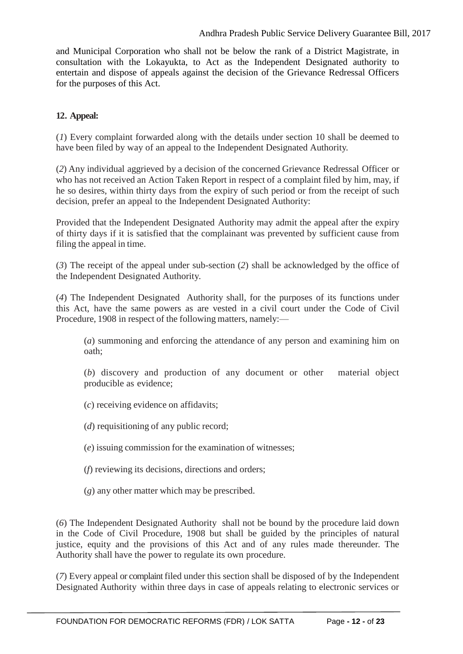and Municipal Corporation who shall not be below the rank of a District Magistrate, in consultation with the Lokayukta, to Act as the Independent Designated authority to entertain and dispose of appeals against the decision of the Grievance Redressal Officers for the purposes of this Act.

#### **12. Appeal:**

(*1*) Every complaint forwarded along with the details under section 10 shall be deemed to have been filed by way of an appeal to the Independent Designated Authority.

(*2*) Any individual aggrieved by a decision of the concerned Grievance Redressal Officer or who has not received an Action Taken Report in respect of a complaint filed by him, may, if he so desires, within thirty days from the expiry of such period or from the receipt of such decision, prefer an appeal to the Independent Designated Authority:

Provided that the Independent Designated Authority may admit the appeal after the expiry of thirty days if it is satisfied that the complainant was prevented by sufficient cause from filing the appeal in time.

(*3*) The receipt of the appeal under sub-section (*2*) shall be acknowledged by the office of the Independent Designated Authority.

(*4*) The Independent Designated Authority shall, for the purposes of its functions under this Act, have the same powers as are vested in a civil court under the Code of Civil Procedure, 1908 in respect of the following matters, namely:—

(*a*) summoning and enforcing the attendance of any person and examining him on oath;

(*b*) discovery and production of any document or other material object producible as evidence;

- (*c*) receiving evidence on affidavits;
- (*d*) requisitioning of any public record;
- (*e*) issuing commission for the examination of witnesses;
- (*f*) reviewing its decisions, directions and orders;
- (*g*) any other matter which may be prescribed.

(*6*) The Independent Designated Authority shall not be bound by the procedure laid down in the Code of Civil Procedure, 1908 but shall be guided by the principles of natural justice, equity and the provisions of this Act and of any rules made thereunder. The Authority shall have the power to regulate its own procedure.

(*7*) Every appeal or complaint filed under this section shall be disposed of by the Independent Designated Authority within three days in case of appeals relating to electronic services or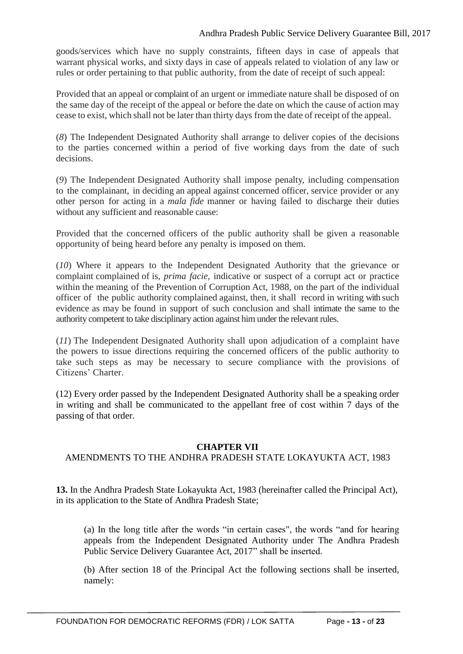goods/services which have no supply constraints, fifteen days in case of appeals that warrant physical works, and sixty days in case of appeals related to violation of any law or rules or order pertaining to that public authority, from the date of receipt of such appeal:

Provided that an appeal or complaint of an urgent or immediate nature shall be disposed of on the same day of the receipt of the appeal or before the date on which the cause of action may cease to exist, which shall not be later than thirty days from the date of receipt of the appeal.

(*8*) The Independent Designated Authority shall arrange to deliver copies of the decisions to the parties concerned within a period of five working days from the date of such decisions.

(*9*) The Independent Designated Authority shall impose penalty, including compensation to the complainant, in deciding an appeal against concerned officer, service provider or any other person for acting in a *mala fide* manner or having failed to discharge their duties without any sufficient and reasonable cause:

Provided that the concerned officers of the public authority shall be given a reasonable opportunity of being heard before any penalty is imposed on them.

(*10*) Where it appears to the Independent Designated Authority that the grievance or complaint complained of is, *prima facie,* indicative or suspect of a corrupt act or practice within the meaning of the Prevention of Corruption Act, 1988, on the part of the individual officer of the public authority complained against, then, it shall record in writing with such evidence as may be found in support of such conclusion and shall intimate the same to the authority competent to take disciplinary action against him under the relevant rules.

(*11*) The Independent Designated Authority shall upon adjudication of a complaint have the powers to issue directions requiring the concerned officers of the public authority to take such steps as may be necessary to secure compliance with the provisions of Citizens' Charter.

(12) Every order passed by the Independent Designated Authority shall be a speaking order in writing and shall be communicated to the appellant free of cost within 7 days of the passing of that order.

#### **CHAPTER VII**

#### AMENDMENTS TO THE ANDHRA PRADESH STATE LOKAYUKTA ACT, 1983

**13.** In the Andhra Pradesh State Lokayukta Act, 1983 (hereinafter called the Principal Act), in its application to the State of Andhra Pradesh State;

(a) In the long title after the words "in certain cases", the words "and for hearing appeals from the Independent Designated Authority under The Andhra Pradesh Public Service Delivery Guarantee Act, 2017" shall be inserted.

(b) After section 18 of the Principal Act the following sections shall be inserted, namely: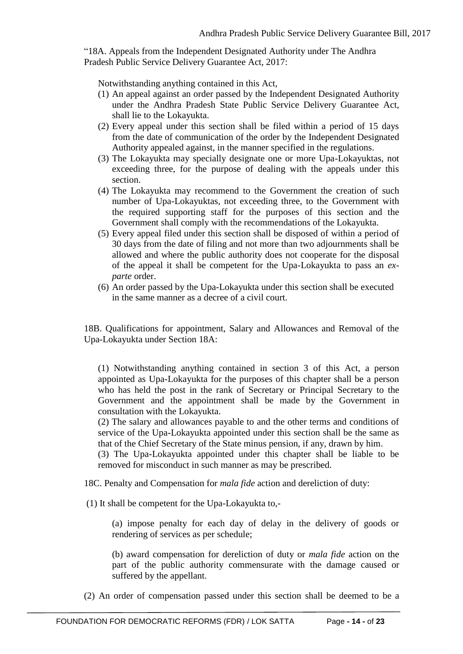"18A. Appeals from the Independent Designated Authority under The Andhra Pradesh Public Service Delivery Guarantee Act, 2017:

Notwithstanding anything contained in this Act,

- (1) An appeal against an order passed by the Independent Designated Authority under the Andhra Pradesh State Public Service Delivery Guarantee Act, shall lie to the Lokayukta.
- (2) Every appeal under this section shall be filed within a period of 15 days from the date of communication of the order by the Independent Designated Authority appealed against, in the manner specified in the regulations.
- (3) The Lokayukta may specially designate one or more Upa-Lokayuktas, not exceeding three, for the purpose of dealing with the appeals under this section.
- (4) The Lokayukta may recommend to the Government the creation of such number of Upa-Lokayuktas, not exceeding three, to the Government with the required supporting staff for the purposes of this section and the Government shall comply with the recommendations of the Lokayukta.
- (5) Every appeal filed under this section shall be disposed of within a period of 30 days from the date of filing and not more than two adjournments shall be allowed and where the public authority does not cooperate for the disposal of the appeal it shall be competent for the Upa-Lokayukta to pass an *exparte* order.
- (6) An order passed by the Upa-Lokayukta under this section shall be executed in the same manner as a decree of a civil court.

18B. Qualifications for appointment, Salary and Allowances and Removal of the Upa-Lokayukta under Section 18A:

(1) Notwithstanding anything contained in section 3 of this Act, a person appointed as Upa-Lokayukta for the purposes of this chapter shall be a person who has held the post in the rank of Secretary or Principal Secretary to the Government and the appointment shall be made by the Government in consultation with the Lokayukta.

(2) The salary and allowances payable to and the other terms and conditions of service of the Upa-Lokayukta appointed under this section shall be the same as that of the Chief Secretary of the State minus pension, if any, drawn by him.

(3) The Upa-Lokayukta appointed under this chapter shall be liable to be removed for misconduct in such manner as may be prescribed.

18C. Penalty and Compensation for *mala fide* action and dereliction of duty:

(1) It shall be competent for the Upa-Lokayukta to,-

(a) impose penalty for each day of delay in the delivery of goods or rendering of services as per schedule;

(b) award compensation for dereliction of duty or *mala fide* action on the part of the public authority commensurate with the damage caused or suffered by the appellant.

(2) An order of compensation passed under this section shall be deemed to be a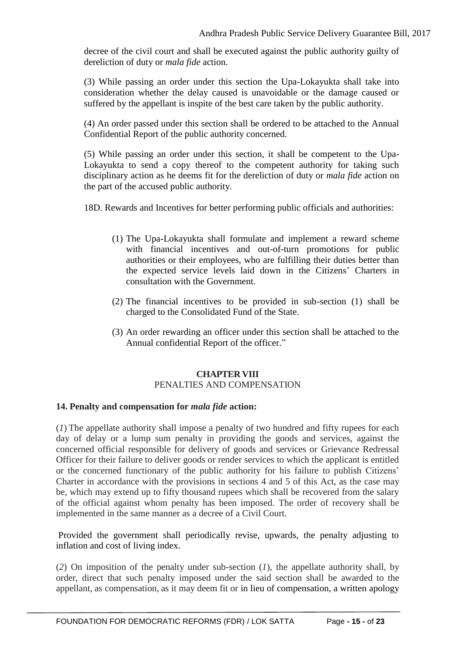decree of the civil court and shall be executed against the public authority guilty of dereliction of duty or *mala fide* action.

(3) While passing an order under this section the Upa-Lokayukta shall take into consideration whether the delay caused is unavoidable or the damage caused or suffered by the appellant is inspite of the best care taken by the public authority.

(4) An order passed under this section shall be ordered to be attached to the Annual Confidential Report of the public authority concerned.

(5) While passing an order under this section, it shall be competent to the Upa-Lokayukta to send a copy thereof to the competent authority for taking such disciplinary action as he deems fit for the dereliction of duty or *mala fide* action on the part of the accused public authority.

18D. Rewards and Incentives for better performing public officials and authorities:

- (1) The Upa-Lokayukta shall formulate and implement a reward scheme with financial incentives and out-of-turn promotions for public authorities or their employees, who are fulfilling their duties better than the expected service levels laid down in the Citizens' Charters in consultation with the Government.
- (2) The financial incentives to be provided in sub-section (1) shall be charged to the Consolidated Fund of the State.
- (3) An order rewarding an officer under this section shall be attached to the Annual confidential Report of the officer."

#### **CHAPTER VIII** PENALTIES AND COMPENSATION

#### **14. Penalty and compensation for** *mala fide* **action:**

(*1*) The appellate authority shall impose a penalty of two hundred and fifty rupees for each day of delay or a lump sum penalty in providing the goods and services, against the concerned official responsible for delivery of goods and services or Grievance Redressal Officer for their failure to deliver goods or render services to which the applicant is entitled or the concerned functionary of the public authority for his failure to publish Citizens' Charter in accordance with the provisions in sections 4 and 5 of this Act, as the case may be, which may extend up to fifty thousand rupees which shall be recovered from the salary of the official against whom penalty has been imposed. The order of recovery shall be implemented in the same manner as a decree of a Civil Court.

Provided the government shall periodically revise, upwards, the penalty adjusting to inflation and cost of living index.

(*2*) On imposition of the penalty under sub-section (*1*), the appellate authority shall, by order, direct that such penalty imposed under the said section shall be awarded to the appellant, as compensation, as it may deem fit or in lieu of compensation, a written apology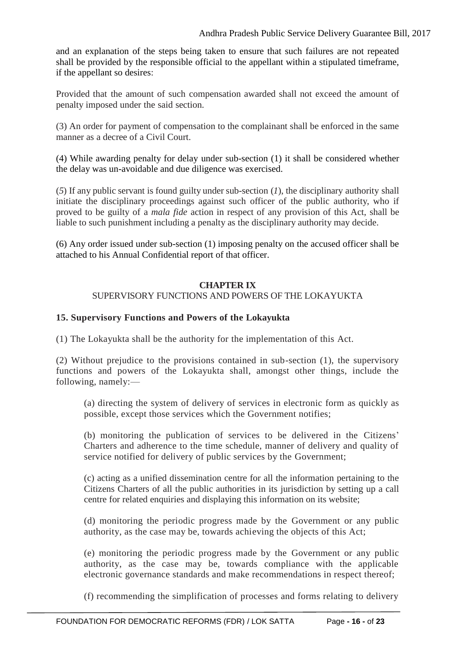and an explanation of the steps being taken to ensure that such failures are not repeated shall be provided by the responsible official to the appellant within a stipulated timeframe, if the appellant so desires:

Provided that the amount of such compensation awarded shall not exceed the amount of penalty imposed under the said section.

(3) An order for payment of compensation to the complainant shall be enforced in the same manner as a decree of a Civil Court.

(4) While awarding penalty for delay under sub-section (1) it shall be considered whether the delay was un-avoidable and due diligence was exercised.

(*5*) If any public servant is found guilty under sub-section (*1*), the disciplinary authority shall initiate the disciplinary proceedings against such officer of the public authority, who if proved to be guilty of a *mala fide* action in respect of any provision of this Act, shall be liable to such punishment including a penalty as the disciplinary authority may decide.

(6) Any order issued under sub-section (1) imposing penalty on the accused officer shall be attached to his Annual Confidential report of that officer.

#### **CHAPTER IX**

#### SUPERVISORY FUNCTIONS AND POWERS OF THE LOKAYUKTA

#### **15. Supervisory Functions and Powers of the Lokayukta**

(1) The Lokayukta shall be the authority for the implementation of this Act.

(2) Without prejudice to the provisions contained in sub-section (1), the supervisory functions and powers of the Lokayukta shall, amongst other things, include the following, namely:—

(a) directing the system of delivery of services in electronic form as quickly as possible, except those services which the Government notifies;

(b) monitoring the publication of services to be delivered in the Citizens' Charters and adherence to the time schedule, manner of delivery and quality of service notified for delivery of public services by the Government;

(c) acting as a unified dissemination centre for all the information pertaining to the Citizens Charters of all the public authorities in its jurisdiction by setting up a call centre for related enquiries and displaying this information on its website;

(d) monitoring the periodic progress made by the Government or any public authority, as the case may be, towards achieving the objects of this Act;

(e) monitoring the periodic progress made by the Government or any public authority, as the case may be, towards compliance with the applicable electronic governance standards and make recommendations in respect thereof;

(f) recommending the simplification of processes and forms relating to delivery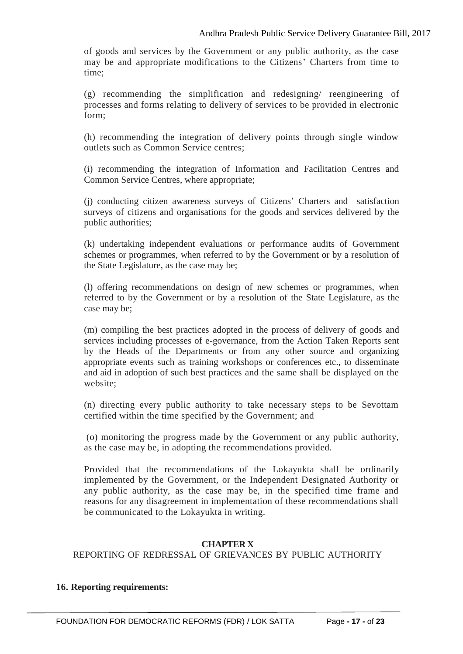of goods and services by the Government or any public authority, as the case may be and appropriate modifications to the Citizens' Charters from time to time;

(g) recommending the simplification and redesigning/ reengineering of processes and forms relating to delivery of services to be provided in electronic form;

(h) recommending the integration of delivery points through single window outlets such as Common Service centres;

(i) recommending the integration of Information and Facilitation Centres and Common Service Centres, where appropriate;

(j) conducting citizen awareness surveys of Citizens' Charters and satisfaction surveys of citizens and organisations for the goods and services delivered by the public authorities;

(k) undertaking independent evaluations or performance audits of Government schemes or programmes, when referred to by the Government or by a resolution of the State Legislature, as the case may be;

(l) offering recommendations on design of new schemes or programmes, when referred to by the Government or by a resolution of the State Legislature, as the case may be;

(m) compiling the best practices adopted in the process of delivery of goods and services including processes of e-governance, from the Action Taken Reports sent by the Heads of the Departments or from any other source and organizing appropriate events such as training workshops or conferences etc., to disseminate and aid in adoption of such best practices and the same shall be displayed on the website;

(n) directing every public authority to take necessary steps to be Sevottam certified within the time specified by the Government; and

(o) monitoring the progress made by the Government or any public authority, as the case may be, in adopting the recommendations provided.

Provided that the recommendations of the Lokayukta shall be ordinarily implemented by the Government, or the Independent Designated Authority or any public authority, as the case may be, in the specified time frame and reasons for any disagreement in implementation of these recommendations shall be communicated to the Lokayukta in writing.

#### **CHAPTER X**

REPORTING OF REDRESSAL OF GRIEVANCES BY PUBLIC AUTHORITY

#### **16. Reporting requirements:**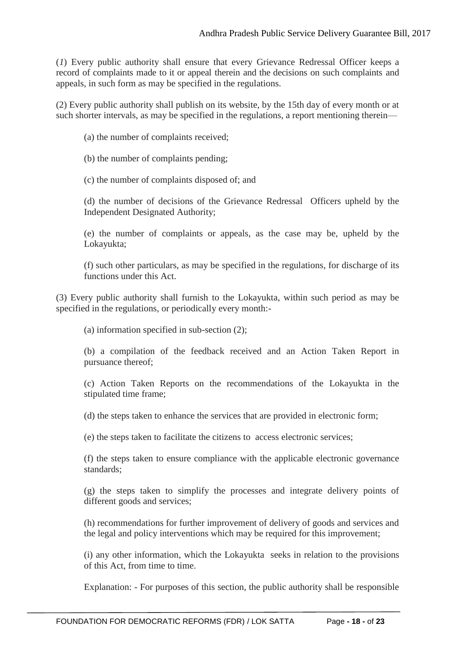(*1*) Every public authority shall ensure that every Grievance Redressal Officer keeps a record of complaints made to it or appeal therein and the decisions on such complaints and appeals, in such form as may be specified in the regulations.

(2) Every public authority shall publish on its website, by the 15th day of every month or at such shorter intervals, as may be specified in the regulations, a report mentioning therein—

(a) the number of complaints received;

- (b) the number of complaints pending;
- (c) the number of complaints disposed of; and

(d) the number of decisions of the Grievance Redressal Officers upheld by the Independent Designated Authority;

(e) the number of complaints or appeals, as the case may be, upheld by the Lokayukta;

(f) such other particulars, as may be specified in the regulations, for discharge of its functions under this Act.

(3) Every public authority shall furnish to the Lokayukta, within such period as may be specified in the regulations, or periodically every month:-

(a) information specified in sub-section (2);

(b) a compilation of the feedback received and an Action Taken Report in pursuance thereof;

(c) Action Taken Reports on the recommendations of the Lokayukta in the stipulated time frame;

(d) the steps taken to enhance the services that are provided in electronic form;

(e) the steps taken to facilitate the citizens to access electronic services;

(f) the steps taken to ensure compliance with the applicable electronic governance standards;

(g) the steps taken to simplify the processes and integrate delivery points of different goods and services;

(h) recommendations for further improvement of delivery of goods and services and the legal and policy interventions which may be required for this improvement;

(i) any other information, which the Lokayukta seeks in relation to the provisions of this Act, from time to time.

Explanation: - For purposes of this section, the public authority shall be responsible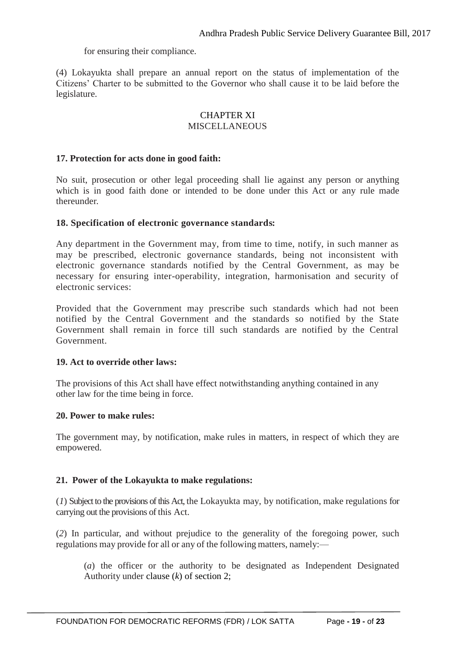for ensuring their compliance.

(4) Lokayukta shall prepare an annual report on the status of implementation of the Citizens' Charter to be submitted to the Governor who shall cause it to be laid before the legislature.

#### CHAPTER XI MISCELLANEOUS

#### **17. Protection for acts done in good faith:**

No suit, prosecution or other legal proceeding shall lie against any person or anything which is in good faith done or intended to be done under this Act or any rule made thereunder.

#### **18. Specification of electronic governance standards:**

Any department in the Government may, from time to time, notify, in such manner as may be prescribed, electronic governance standards, being not inconsistent with electronic governance standards notified by the Central Government, as may be necessary for ensuring inter-operability, integration, harmonisation and security of electronic services:

Provided that the Government may prescribe such standards which had not been notified by the Central Government and the standards so notified by the State Government shall remain in force till such standards are notified by the Central Government.

#### **19. Act to override other laws:**

The provisions of this Act shall have effect notwithstanding anything contained in any other law for the time being in force.

#### **20. Power to make rules:**

The government may, by notification, make rules in matters, in respect of which they are empowered.

#### **21. Power of the Lokayukta to make regulations:**

(*1*) Subject to the provisions of this Act, the Lokayukta may, by notification, make regulations for carrying out the provisions of this Act.

(*2*) In particular, and without prejudice to the generality of the foregoing power, such regulations may provide for all or any of the following matters, namely:—

(*a*) the officer or the authority to be designated as Independent Designated Authority under clause (*k*) of section 2;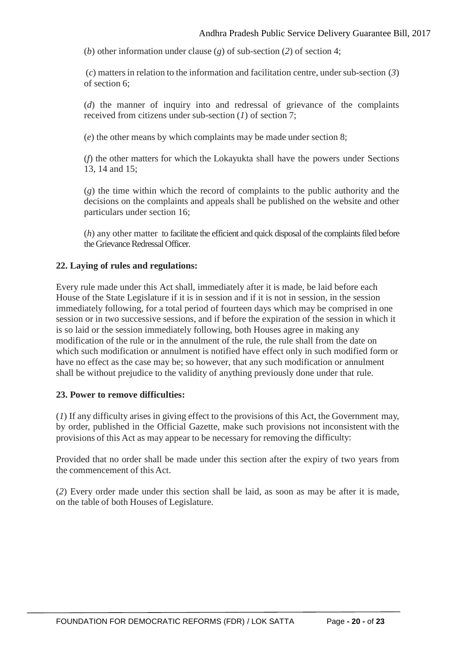(*b*) other information under clause (*g*) of sub-section (*2*) of section 4;

(*c*) mattersin relation to the information and facilitation centre, undersub-section (*3*) of section 6;

(*d*) the manner of inquiry into and redressal of grievance of the complaints received from citizens under sub-section (*1*) of section 7;

(*e*) the other means by which complaints may be made under section 8;

(*f*) the other matters for which the Lokayukta shall have the powers under Sections 13, 14 and 15;

(*g*) the time within which the record of complaints to the public authority and the decisions on the complaints and appeals shall be published on the website and other particulars under section 16;

(*h*) any other matter to facilitate the efficient and quick disposal of the complaints filed before the Grievance Redressal Officer.

#### **22. Laying of rules and regulations:**

Every rule made under this Act shall, immediately after it is made, be laid before each House of the State Legislature if it is in session and if it is not in session, in the session immediately following, for a total period of fourteen days which may be comprised in one session or in two successive sessions, and if before the expiration of the session in which it is so laid or the session immediately following, both Houses agree in making any modification of the rule or in the annulment of the rule, the rule shall from the date on which such modification or annulment is notified have effect only in such modified form or have no effect as the case may be; so however, that any such modification or annulment shall be without prejudice to the validity of anything previously done under that rule.

#### **23. Power to remove difficulties:**

(*1*) If any difficulty arises in giving effect to the provisions of this Act, the Government may, by order, published in the Official Gazette, make such provisions not inconsistent with the provisions of this Act as may appear to be necessary for removing the difficulty:

Provided that no order shall be made under this section after the expiry of two years from the commencement of this Act.

(*2*) Every order made under this section shall be laid, as soon as may be after it is made, on the table of both Houses of Legislature.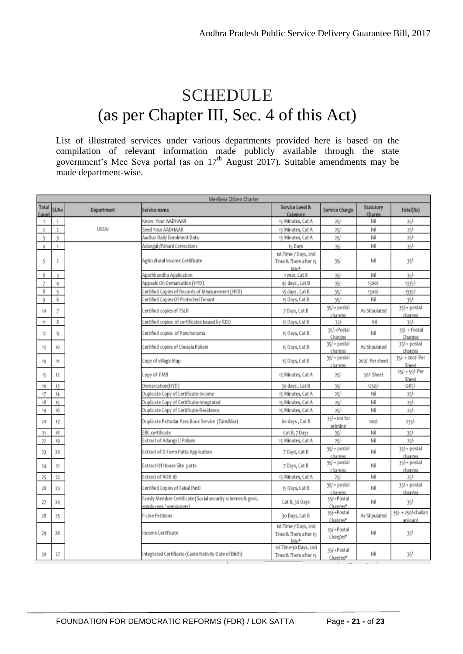## SCHEDULE (as per Chapter III, Sec. 4 of this Act)

List of illustrated services under various departments provided here is based on the compilation of relevant information made publicly available through the state government's Mee Seva portal (as on  $17<sup>th</sup>$  August 2017). Suitable amendments may be made department-wise.

| MeeSeva Citizen Charter |                |              |                                                                                       |                                                       |                          |                     |                               |
|-------------------------|----------------|--------------|---------------------------------------------------------------------------------------|-------------------------------------------------------|--------------------------|---------------------|-------------------------------|
| Total<br>Count          | SLNo           | Department   | Service name                                                                          | Service Level &<br>Category                           | Service Charge           | Statutory<br>Charge | Total(Rs)                     |
| 1                       | 1              |              | Know Your AADHAAR                                                                     | 15 Minutes, Cat A                                     | $25 -$                   | Nil                 | 25/                           |
| $\mathbf{z}$            | $\overline{2}$ | <b>UIDAI</b> | Seed Your AADHAAR                                                                     | 15 Minutes, Cat A                                     | $25/-$                   | Nil                 | 25/                           |
| $\overline{3}$          | 3              |              | Aadhar Daily Enrolment Data                                                           | 15 Minutes, Cat A                                     | 25/                      | Nil                 | 25/                           |
| 4                       | 1              |              | Adangal /Pahani Corrections                                                           | 15 Days                                               | $35/-$                   | Nil                 | 35/                           |
| 5                       | 2              |              | Agricultural Income Certificate                                                       | 1st Time-7 Days, 2nd<br>Time & There after 15<br>Min* | $35/-$                   | Nil                 | $35 -$                        |
| 6                       | ٦              |              | Apathbandhu Application                                                               | 1 year, Cat B                                         | 35/                      | Nil                 | 35/                           |
| 7                       | 4              |              | Appeals On Demarcation (HYD)                                                          | 45 days, Cat B                                        | 35/                      | 1300/-              | 1335/-                        |
| 8                       | t,             |              | Certified Copies of Records of Measurement (HYD)                                      | 15 days, Cat B                                        | 35/                      | 1300/-              | 1335/                         |
| 9                       | 6              |              | Certified Copies Of Protected Tenant                                                  | 15 Days, Cat B                                        | 35/                      | Nil                 | 35/                           |
| 10                      | 7              |              | Certified copies of TSLR                                                              | 7 Days, Cat B                                         | 35/+ postal<br>charges   | As Stipulated       | 35/+ postal<br>charges        |
| $^{\dagger\dagger}$     | 8              |              | Certified copies of certificates issued by RDO                                        | 15 Days, Cat B                                        | $35 -$                   | Nil                 | 35/                           |
| 12                      | 9              |              | Certified copies of Panchanama                                                        | 15 Days, Cat B                                        | 35/+Postal<br>Charges    | ΝiΙ                 | 35/- + Postal<br>Charges      |
| 13                      | 10             |              | Certified copies of Chesala Pahani                                                    | 15 Days, Cat B                                        | 35/+ postal<br>charges   | As Stipulated       | 35/+ postal<br>charges        |
| 14                      | 11             |              | Copy of village Map                                                                   | 15 Days, Cat B                                        | 35/+ postal<br>charges   | 200/- Per sheet     | 35/-+200/- Per<br>Sheet       |
| 15                      | 12             |              | Copy of FMB                                                                           | 15 Minutes, Cat A                                     | $25 -$                   | 50/- Sheet          | 25/-+50/- Per<br>Sheet        |
| 16                      | 13             |              | Demarcation(HYD)                                                                      | 30 days, Cat B                                        | 35/                      | $1250 -$            | $1285/-$                      |
| 17                      | 14             |              | Duplicate Copy of Certificate-Income                                                  | 15 Minutes, Cat A                                     | 25/                      | Nil                 | 25/                           |
| 18                      | 15             |              | Duplicate Copy of Certificate-Integrated                                              | 15 Minutes, Cat A                                     | $25/-$                   | Nil                 | $25/-$                        |
| 19                      | 16             |              | Duplicate Copy of Certificate-Residence                                               | 15 Minutes, Cat A                                     | $25/-$                   | Nil                 | $25/-$                        |
| 20                      | 17             |              | Duplicate Pattadar Pass Book Service (Tahsildar)                                      | 60 days, Cat B                                        | 35/-+100 for<br>printing | $100/-$             | $235/-$                       |
| 21                      | 18             |              | EBC certificate                                                                       | Cat B, 7 Days                                         | 35/                      | Nil                 | $35 -$                        |
| 22                      | 19             |              | Extract of Adangal / Pahani                                                           | 15 Minutes, Cat A                                     | $25/-$                   | Nil                 | 25/                           |
| 23                      | 20             |              | Extract of D-Form Patta Application                                                   | 7 Days, Cat B                                         | 35/+ postal<br>charges   | Nil                 | 35/+ postal<br>charges        |
| 24                      | 21             |              | Extract Of House Site patta                                                           | 7 Days, Cat B                                         | 35/+ postal<br>charges   | Nil                 | 35/+ postal<br>charges        |
| 25                      | 22             |              | Extract of ROR 1B                                                                     | 15 Minutes, Cat A                                     | $25/-$                   | Nil                 | $25 -$                        |
| 26                      | 23             |              | Certified Copies of Faisal Patti                                                      | 15 Days, Cat B                                        | 35/+ postal<br>charges   | Nil                 | 35/+ postal<br>charges        |
| 27                      | 24             |              | Family Member Certificate (Social security schemes & govt.<br>emplovees / pensioners) | Cat B, 30 Days                                        | 35/-+Postal<br>Charges*  | Nil                 | $35 -$                        |
| 28                      | 25             |              | F-Line Petitions                                                                      | 30 Days, Cat B                                        | 35/+Postal<br>Charges*   | As Stipulated       | 35/- + 250/-challan<br>amount |
| 29                      | 26             |              | Income Certificate                                                                    | 1st Time-7 Days, 2nd<br>Time & There after 15<br>Min* | 35/+Postal<br>Charges*   | Nil                 | $35h -$                       |
| 30                      | 27             |              | Integrated Certificate (Caste-Nativity-Date of Birth)                                 | 1st Time-30 Days, 2nd<br>Time & There after 15        | 35/+Postal<br>Charges*   | Nil                 | $35 -$                        |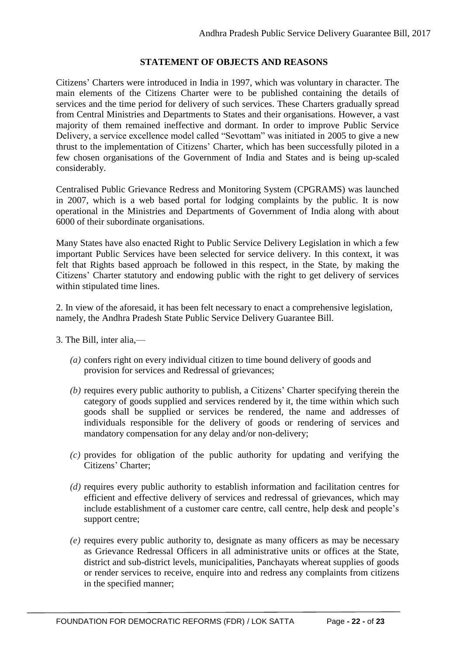#### **STATEMENT OF OBJECTS AND REASONS**

Citizens' Charters were introduced in India in 1997, which was voluntary in character. The main elements of the Citizens Charter were to be published containing the details of services and the time period for delivery of such services. These Charters gradually spread from Central Ministries and Departments to States and their organisations. However, a vast majority of them remained ineffective and dormant. In order to improve Public Service Delivery, a service excellence model called "Sevottam" was initiated in 2005 to give a new thrust to the implementation of Citizens' Charter, which has been successfully piloted in a few chosen organisations of the Government of India and States and is being up-scaled considerably.

Centralised Public Grievance Redress and Monitoring System (CPGRAMS) was launched in 2007, which is a web based portal for lodging complaints by the public. It is now operational in the Ministries and Departments of Government of India along with about 6000 of their subordinate organisations.

Many States have also enacted Right to Public Service Delivery Legislation in which a few important Public Services have been selected for service delivery. In this context, it was felt that Rights based approach be followed in this respect, in the State, by making the Citizens' Charter statutory and endowing public with the right to get delivery of services within stipulated time lines.

2. In view of the aforesaid, it has been felt necessary to enact a comprehensive legislation, namely, the Andhra Pradesh State Public Service Delivery Guarantee Bill.

- 3. The Bill, inter alia,—
	- *(a)* confers right on every individual citizen to time bound delivery of goods and provision for services and Redressal of grievances;
	- *(b)* requires every public authority to publish, a Citizens' Charter specifying therein the category of goods supplied and services rendered by it, the time within which such goods shall be supplied or services be rendered, the name and addresses of individuals responsible for the delivery of goods or rendering of services and mandatory compensation for any delay and/or non-delivery;
	- *(c)* provides for obligation of the public authority for updating and verifying the Citizens' Charter;
	- *(d)* requires every public authority to establish information and facilitation centres for efficient and effective delivery of services and redressal of grievances, which may include establishment of a customer care centre, call centre, help desk and people's support centre;
	- *(e)* requires every public authority to, designate as many officers as may be necessary as Grievance Redressal Officers in all administrative units or offices at the State, district and sub-district levels, municipalities, Panchayats whereat supplies of goods or render services to receive, enquire into and redress any complaints from citizens in the specified manner;